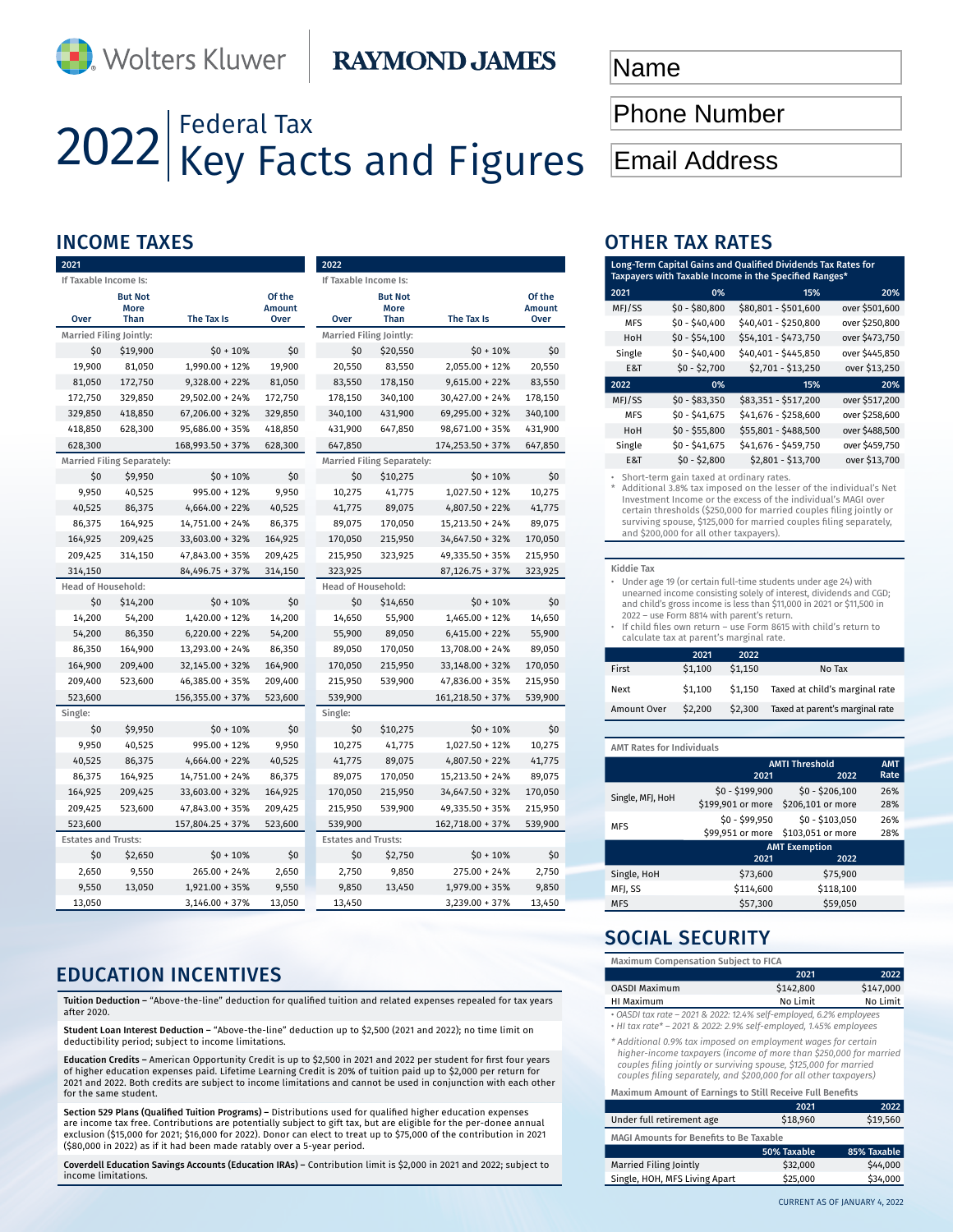## **RAYMOND JAMES**

# 2022 Federal Tax<br>
ZO22 Key Facts and Figures

| 2021                       |                                   |                   |                                 | 2022    |         |                                   |                   |                                 |
|----------------------------|-----------------------------------|-------------------|---------------------------------|---------|---------|-----------------------------------|-------------------|---------------------------------|
| If Taxable Income Is:      |                                   |                   |                                 |         |         | If Taxable Income Is:             |                   |                                 |
| Over                       | <b>But Not</b><br>More<br>Than    | The Tax Is        | Of the<br><b>Amount</b><br>Over | Over    |         | <b>But Not</b><br>More<br>Than    | The Tax Is        | Of the<br><b>Amount</b><br>Over |
| Married Filing Jointly:    |                                   |                   |                                 |         |         | Married Filing Jointly:           |                   |                                 |
| \$0                        | \$19,900                          | $$0 + 10\%$       | \$0                             |         | \$0     | \$20,550                          | $$0 + 10\%$       | \$0                             |
| 19,900                     | 81,050                            | 1,990.00 + 12%    | 19,900                          |         | 20,550  | 83,550                            | 2,055.00 + 12%    | 20,550                          |
| 81,050                     | 172,750                           | 9,328.00 + 22%    | 81,050                          |         | 83,550  | 178,150                           | $9,615.00 + 22%$  | 83,550                          |
| 172,750                    | 329,850                           | 29,502.00 + 24%   | 172,750                         |         | 178,150 | 340,100                           | $30,427.00 + 24%$ | 178,150                         |
| 329,850                    | 418,850                           | $67,206.00 + 32%$ | 329,850                         |         | 340,100 | 431,900                           | 69,295.00 + 32%   | 340,100                         |
| 418,850                    | 628,300                           | 95,686.00 + 35%   | 418,850                         |         | 431,900 | 647,850                           | 98,671.00 + 35%   | 431,900                         |
| 628,300                    |                                   | 168,993.50 + 37%  | 628,300                         |         | 647,850 |                                   | 174,253.50 + 37%  | 647,850                         |
|                            | <b>Married Filing Separately:</b> |                   |                                 |         |         | <b>Married Filing Separately:</b> |                   |                                 |
| \$0                        | \$9,950                           | $$0 + 10\%$       | \$0                             |         | \$0     | \$10,275                          | $$0 + 10\%$       | \$0                             |
| 9,950                      | 40,525                            | 995.00 + 12%      | 9,950                           |         | 10,275  | 41,775                            | $1,027.50 + 12%$  | 10,275                          |
| 40,525                     | 86,375                            | 4,664.00 + 22%    | 40,525                          |         | 41,775  | 89,075                            | 4,807.50 + 22%    | 41,775                          |
| 86,375                     | 164,925                           | 14,751.00 + 24%   | 86,375                          |         | 89,075  | 170,050                           | 15,213.50 + 24%   | 89,075                          |
| 164,925                    | 209,425                           | 33,603.00 + 32%   | 164,925                         |         | 170,050 | 215,950                           | 34,647.50 + 32%   | 170,050                         |
| 209,425                    | 314,150                           | 47,843.00 + 35%   | 209,425                         |         | 215,950 | 323,925                           | 49,335.50 + 35%   | 215,950                         |
| 314,150                    |                                   | 84,496.75 + 37%   | 314,150                         |         | 323,925 |                                   | $87,126.75 + 37%$ | 323,925                         |
| Head of Household:         |                                   |                   |                                 |         |         | <b>Head of Household:</b>         |                   |                                 |
| \$0                        | \$14,200                          | $$0 + 10\%$       | \$0                             |         | \$0     | \$14,650                          | $$0 + 10\%$       | \$0                             |
| 14,200                     | 54,200                            | 1,420.00 + 12%    | 14,200                          |         | 14,650  | 55,900                            | 1,465.00 + 12%    | 14,650                          |
| 54,200                     | 86,350                            | $6,220.00 + 22%$  | 54,200                          |         | 55,900  | 89,050                            | $6,415.00 + 22%$  | 55,900                          |
| 86,350                     | 164,900                           | 13,293.00 + 24%   | 86,350                          |         | 89,050  | 170,050                           | 13,708.00 + 24%   | 89,050                          |
| 164,900                    | 209,400                           | 32,145.00 + 32%   | 164,900                         |         | 170,050 | 215,950                           | 33,148.00 + 32%   | 170,050                         |
| 209,400                    | 523,600                           | 46,385.00 + 35%   | 209,400                         |         | 215,950 | 539,900                           | 47,836.00 + 35%   | 215,950                         |
| 523,600                    |                                   | 156,355.00 + 37%  | 523,600                         |         | 539,900 |                                   | 161,218.50 + 37%  | 539,900                         |
| Single:                    |                                   |                   |                                 | Single: |         |                                   |                   |                                 |
| \$0                        | \$9,950                           | $$0 + 10\%$       | \$0                             |         | \$0     | \$10,275                          | $$0 + 10\%$       | \$0                             |
| 9,950                      | 40,525                            | 995.00 + 12%      | 9,950                           |         | 10,275  | 41,775                            | $1,027.50 + 12%$  | 10,275                          |
| 40,525                     | 86,375                            | 4,664.00 + 22%    | 40,525                          |         | 41,775  | 89,075                            | 4,807.50 + 22%    | 41,775                          |
| 86,375                     | 164,925                           | 14,751.00 + 24%   | 86,375                          |         | 89,075  | 170,050                           | 15,213.50 + 24%   | 89,075                          |
| 164,925                    | 209,425                           | 33,603.00 + 32%   | 164,925                         |         | 170,050 | 215,950                           | 34,647.50 + 32%   | 170,050                         |
| 209,425                    | 523,600                           | 47,843.00 + 35%   | 209,425                         |         | 215,950 | 539,900                           | 49,335.50 + 35%   | 215,950                         |
| 523,600                    |                                   | 157,804.25 + 37%  | 523,600                         |         | 539,900 |                                   | 162,718.00 + 37%  | 539,900                         |
| <b>Estates and Trusts:</b> |                                   |                   |                                 |         |         | <b>Estates and Trusts:</b>        |                   |                                 |
| \$0                        | \$2,650                           | $$0 + 10\%$       | \$0                             |         | \$0     | \$2,750                           | $$0 + 10\%$       | \$0                             |
| 2,650                      | 9,550                             | $265.00 + 24%$    | 2,650                           |         | 2,750   | 9,850                             | $275.00 + 24%$    | 2,750                           |
| 9,550                      | 13,050                            | 1,921.00 + 35%    | 9,550                           |         | 9,850   | 13,450                            | 1,979.00 + 35%    | 9,850                           |
| 13,050                     |                                   | $3,146.00 + 37%$  | 13,050                          |         | 13,450  |                                   | 3,239.00 + 37%    | 13,450                          |

## EDUCATION INCENTIVES

Tuition Deduction – "Above-the-line" deduction for qualified tuition and related expenses repealed for tax years after 2020.

Student Loan Interest Deduction – "Above-the-line" deduction up to \$2,500 (2021 and 2022); no time limit on deductibility period; subject to income limitations.

Education Credits – American Opportunity Credit is up to \$2,500 in 2021 and 2022 per student for first four years of higher education expenses paid. Lifetime Learning Credit is 20% of tuition paid up to \$2,000 per return for 2021 and 2022. Both credits are subject to income limitations and cannot be used in conjunction with each other for the same student.

Section 529 Plans (Qualified Tuition Programs) – Distributions used for qualified higher education expenses are income tax free. Contributions are potentially subject to gift tax, but are eligible for the per-donee annual exclusion (\$15,000 for 2021; \$16,000 for 2022). Donor can elect to treat up to \$75,000 of the contribution in 2021 (\$80,000 in 2022) as if it had been made ratably over a 5-year period.

Coverdell Education Savings Accounts (Education IRAs) – Contribution limit is \$2,000 in 2021 and 2022; subject to income limitations.

## Name

Phone Number

Email Address

## INCOME TAXES OTHER TAXES

| Long-Term Capital Gains and Qualified Dividends Tax Rates for<br>Taxpayers with Taxable Income in the Specified Ranges* |                |                      |                |  |
|-------------------------------------------------------------------------------------------------------------------------|----------------|----------------------|----------------|--|
| 2021                                                                                                                    | 0%             | 15%                  | 20%            |  |
| MFJ/SS                                                                                                                  | \$0 - \$80,800 | \$80,801 - \$501,600 | over \$501,600 |  |
| <b>MFS</b>                                                                                                              | $$0 - $40,400$ | \$40,401 - \$250,800 | over \$250,800 |  |
| HoH                                                                                                                     | $$0 - $54,100$ | \$54,101 - \$473,750 | over \$473,750 |  |
| Single                                                                                                                  | $$0 - $40,400$ | \$40,401 - \$445,850 | over \$445,850 |  |
| E&T                                                                                                                     | $$0 - $2,700$  | \$2,701 - \$13,250   | over \$13,250  |  |
| 2022                                                                                                                    | 0%             | 15%                  | 20%            |  |
| MFJ/SS                                                                                                                  | \$0 - \$83,350 | \$83,351 - \$517,200 | over \$517,200 |  |
| <b>MFS</b>                                                                                                              | $$0 - $41,675$ | \$41,676 - \$258,600 | over \$258,600 |  |
| HoH                                                                                                                     | \$0 - \$55,800 | \$55,801 - \$488,500 | over \$488,500 |  |
| Single                                                                                                                  | $$0 - $41,675$ | \$41,676 - \$459,750 | over \$459,750 |  |
| E&T                                                                                                                     | $$0 - $2,800$  | $$2,801 - $13,700$   | over \$13,700  |  |

Short-term gain taxed at ordinary rates. \* Additional 3.8% tax imposed on the lesser of the individual's Net Investment Income or the excess of the individual's MAGI over certain thresholds (\$250,000 for married couples filing jointly or surviving spouse, \$125,000 for married couples filing separately, and \$200,000 for all other taxpayers).

#### Kiddie Tax

• Under age 19 (or certain full-time students under age 24) with unearned income consisting solely of interest, dividends and CGD; and child's gross income is less than \$11,000 in 2021 or \$11,500 in 2022 – use Form 8814 with parent's return.

• If child files own return – use Form 8615 with child's return to calculate tax at parent's marginal rate.

|             | 2021    | 2022    |                                 |
|-------------|---------|---------|---------------------------------|
| First       | \$1.100 | \$1,150 | No Tax                          |
| Next        | \$1.100 | \$1.150 | Taxed at child's marginal rate  |
| Amount Over | \$2.200 | \$2.300 | Taxed at parent's marginal rate |

|  |  | <b>AMT Rates for Individuals</b> |
|--|--|----------------------------------|
|  |  |                                  |

|                  | <b>AMTI Threshold</b> |                   |      |
|------------------|-----------------------|-------------------|------|
|                  | 2021                  | 2022              | Rate |
|                  | $$0 - $199,900$       | $$0 - $206,100$   | 26%  |
| Single, MFJ, HoH | \$199,901 or more     | \$206,101 or more | 28%  |
|                  | $$0 - $99,950$        | $$0 - $103,050$   | 26%  |
| <b>MFS</b>       | \$99,951 or more      | \$103,051 or more | 28%  |
|                  | <b>AMT Exemption</b>  |                   |      |
|                  | 2021                  | 2022              |      |
| Single, HoH      | \$73,600              | \$75,900          |      |
| MFJ, SS          | \$114,600             | \$118,100         |      |
| <b>MFS</b>       | \$57,300              | \$59,050          |      |

## SOCIAL SECURITY

Maximum Compensation Subject to FICA

| <u>Maximum compensation Jubicci to Fich</u>                                                                                              |           |           |  |  |
|------------------------------------------------------------------------------------------------------------------------------------------|-----------|-----------|--|--|
|                                                                                                                                          | 2021      | 2022      |  |  |
| <b>OASDI Maximum</b>                                                                                                                     | \$142,800 | \$147,000 |  |  |
| HI Maximum                                                                                                                               | No Limit  | No Limit  |  |  |
| · OASDI tax rate - 2021 & 2022: 12.4% self-employed, 6.2% employees<br>· HI tax rate* - 2021 & 2022: 2.9% self-employed, 1.45% employees |           |           |  |  |
| * Additional 0.9% tax imposed on employment wages for certain<br>biobox income tournains lineans of more than 6350,000 for morning       |           |           |  |  |

*higher-income taxpayers (income of more than \$250,000 for married couples filing jointly or surviving spouse, \$125,000 for married couples filing separately, and \$200,000 for all other taxpayers)*

Maximum Amount of Earnings to Still Receive Full Benefits

|                                                | 2021        | 2022        |  |  |
|------------------------------------------------|-------------|-------------|--|--|
| Under full retirement age                      | \$18,960    | \$19,560    |  |  |
| <b>MAGI Amounts for Benefits to Be Taxable</b> |             |             |  |  |
|                                                | 50% Taxable | 85% Taxable |  |  |
| Married Filing Jointly                         | \$32,000    | \$44,000    |  |  |

Single, HOH, MFS Living Apart \$25,000 \$34,000